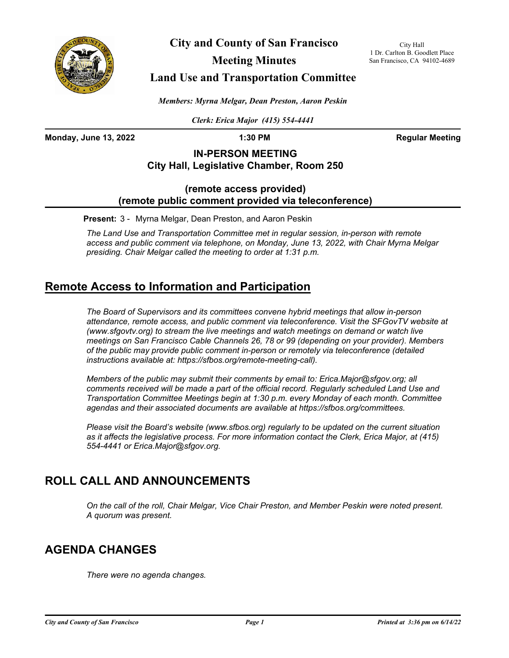

**City and County of San Francisco**

**Meeting Minutes**

City Hall 1 Dr. Carlton B. Goodlett Place San Francisco, CA 94102-4689

## **Land Use and Transportation Committee**

*Members: Myrna Melgar, Dean Preston, Aaron Peskin*

*Clerk: Erica Major (415) 554-4441*

**Monday, June 13, 2022 1:30 PM Regular Meeting**

### **IN-PERSON MEETING City Hall, Legislative Chamber, Room 250**

### **(remote access provided) (remote public comment provided via teleconference)**

**Present:** 3 - Myrna Melgar, Dean Preston, and Aaron Peskin

*The Land Use and Transportation Committee met in regular session, in-person with remote access and public comment via telephone, on Monday, June 13, 2022, with Chair Myrna Melgar presiding. Chair Melgar called the meeting to order at 1:31 p.m.*

# **Remote Access to Information and Participation**

*The Board of Supervisors and its committees convene hybrid meetings that allow in-person attendance, remote access, and public comment via teleconference. Visit the SFGovTV website at (www.sfgovtv.org) to stream the live meetings and watch meetings on demand or watch live meetings on San Francisco Cable Channels 26, 78 or 99 (depending on your provider). Members of the public may provide public comment in-person or remotely via teleconference (detailed instructions available at: https://sfbos.org/remote-meeting-call).* 

*Members of the public may submit their comments by email to: Erica.Major@sfgov.org; all*  comments received will be made a part of the official record. Regularly scheduled Land Use and *Transportation Committee Meetings begin at 1:30 p.m. every Monday of each month. Committee agendas and their associated documents are available at https://sfbos.org/committees.*

*Please visit the Board's website (www.sfbos.org) regularly to be updated on the current situation as it affects the legislative process. For more information contact the Clerk, Erica Major, at (415) 554-4441 or Erica.Major@sfgov.org.*

# **ROLL CALL AND ANNOUNCEMENTS**

*On the call of the roll, Chair Melgar, Vice Chair Preston, and Member Peskin were noted present. A quorum was present.*

# **AGENDA CHANGES**

*There were no agenda changes.*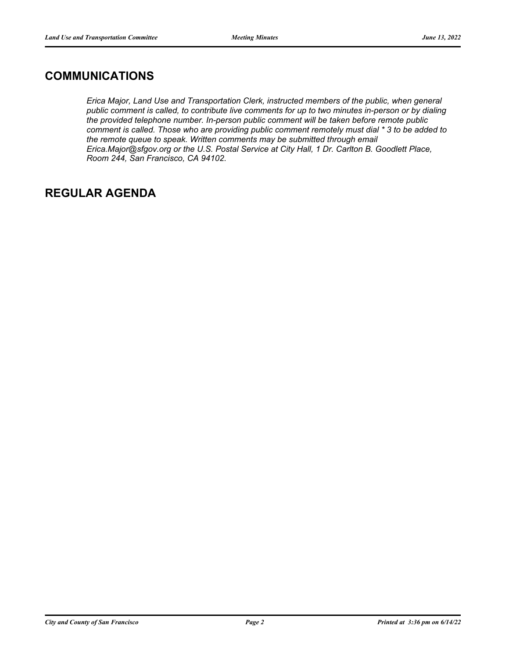## **COMMUNICATIONS**

*Erica Major, Land Use and Transportation Clerk, instructed members of the public, when general public comment is called, to contribute live comments for up to two minutes in-person or by dialing the provided telephone number. In-person public comment will be taken before remote public comment is called. Those who are providing public comment remotely must dial \* 3 to be added to the remote queue to speak. Written comments may be submitted through email Erica.Major@sfgov.org or the U.S. Postal Service at City Hall, 1 Dr. Carlton B. Goodlett Place, Room 244, San Francisco, CA 94102.*

# **REGULAR AGENDA**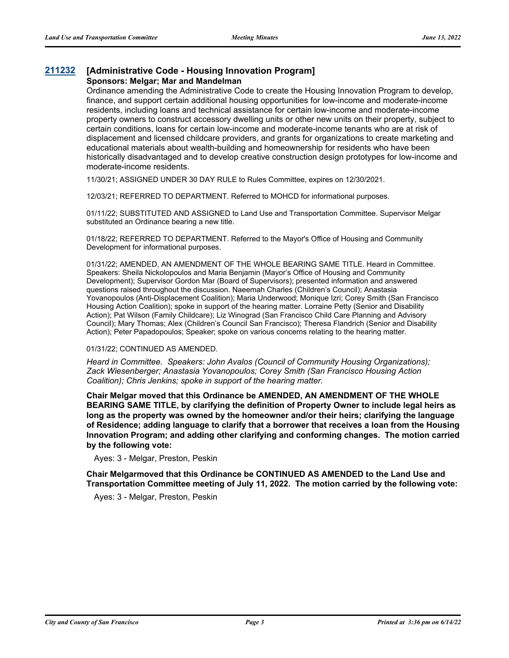### **[211232](http://sfgov.legistar.com/gateway.aspx?m=l&id=38102) [Administrative Code - Housing Innovation Program] Sponsors: Melgar; Mar and Mandelman**

Ordinance amending the Administrative Code to create the Housing Innovation Program to develop, finance, and support certain additional housing opportunities for low-income and moderate-income residents, including loans and technical assistance for certain low-income and moderate-income property owners to construct accessory dwelling units or other new units on their property, subject to certain conditions, loans for certain low-income and moderate-income tenants who are at risk of displacement and licensed childcare providers, and grants for organizations to create marketing and educational materials about wealth-building and homeownership for residents who have been historically disadvantaged and to develop creative construction design prototypes for low-income and moderate-income residents.

11/30/21; ASSIGNED UNDER 30 DAY RULE to Rules Committee, expires on 12/30/2021.

12/03/21; REFERRED TO DEPARTMENT. Referred to MOHCD for informational purposes.

01/11/22; SUBSTITUTED AND ASSIGNED to Land Use and Transportation Committee. Supervisor Melgar substituted an Ordinance bearing a new title.

01/18/22; REFERRED TO DEPARTMENT. Referred to the Mayor's Office of Housing and Community Development for informational purposes.

01/31/22; AMENDED, AN AMENDMENT OF THE WHOLE BEARING SAME TITLE. Heard in Committee. Speakers: Sheila Nickolopoulos and Maria Benjamin (Mayor's Office of Housing and Community Development); Supervisor Gordon Mar (Board of Supervisors); presented information and answered questions raised throughout the discussion. Naeemah Charles (Children's Council); Anastasia Yovanopoulos (Anti-Displacement Coalition); Maria Underwood; Monique Izri; Corey Smith (San Francisco Housing Action Coalition); spoke in support of the hearing matter. Lorraine Petty (Senior and Disability Action); Pat Wilson (Family Childcare); Liz Winograd (San Francisco Child Care Planning and Advisory Council); Mary Thomas; Alex (Children's Council San Francisco); Theresa Flandrich (Senior and Disability Action); Peter Papadopoulos; Speaker; spoke on various concerns relating to the hearing matter.

#### 01/31/22; CONTINUED AS AMENDED.

*Heard in Committee. Speakers: John Avalos (Council of Community Housing Organizations); Zack Wiesenberger; Anastasia Yovanopoulos; Corey Smith (San Francisco Housing Action Coalition); Chris Jenkins; spoke in support of the hearing matter.*

**Chair Melgar moved that this Ordinance be AMENDED, AN AMENDMENT OF THE WHOLE BEARING SAME TITLE, by clarifying the definition of Property Owner to include legal heirs as long as the property was owned by the homeowner and/or their heirs; clarifying the language of Residence; adding language to clarify that a borrower that receives a loan from the Housing Innovation Program; and adding other clarifying and conforming changes. The motion carried by the following vote:**

Ayes: 3 - Melgar, Preston, Peskin

**Chair Melgarmoved that this Ordinance be CONTINUED AS AMENDED to the Land Use and Transportation Committee meeting of July 11, 2022. The motion carried by the following vote:**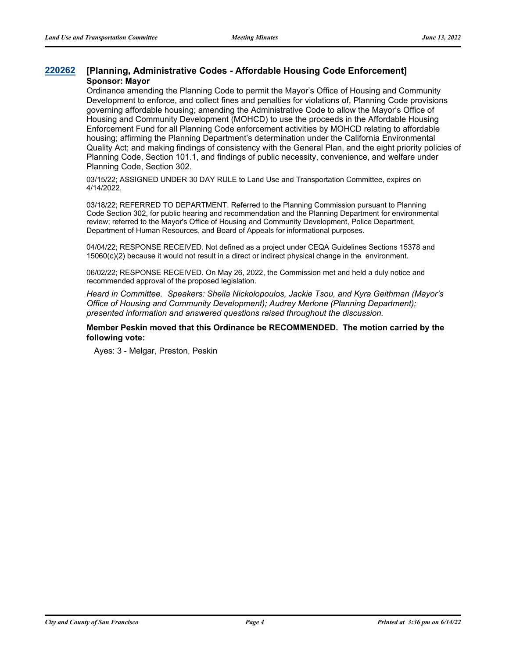### **[220262](http://sfgov.legistar.com/gateway.aspx?m=l&id=38454) [Planning, Administrative Codes - Affordable Housing Code Enforcement] Sponsor: Mayor**

Ordinance amending the Planning Code to permit the Mayor's Office of Housing and Community Development to enforce, and collect fines and penalties for violations of, Planning Code provisions governing affordable housing; amending the Administrative Code to allow the Mayor's Office of Housing and Community Development (MOHCD) to use the proceeds in the Affordable Housing Enforcement Fund for all Planning Code enforcement activities by MOHCD relating to affordable housing; affirming the Planning Department's determination under the California Environmental Quality Act; and making findings of consistency with the General Plan, and the eight priority policies of Planning Code, Section 101.1, and findings of public necessity, convenience, and welfare under Planning Code, Section 302.

03/15/22; ASSIGNED UNDER 30 DAY RULE to Land Use and Transportation Committee, expires on 4/14/2022.

03/18/22; REFERRED TO DEPARTMENT. Referred to the Planning Commission pursuant to Planning Code Section 302, for public hearing and recommendation and the Planning Department for environmental review; referred to the Mayor's Office of Housing and Community Development, Police Department, Department of Human Resources, and Board of Appeals for informational purposes.

04/04/22; RESPONSE RECEIVED. Not defined as a project under CEQA Guidelines Sections 15378 and 15060(c)(2) because it would not result in a direct or indirect physical change in the environment.

06/02/22; RESPONSE RECEIVED. On May 26, 2022, the Commission met and held a duly notice and recommended approval of the proposed legislation.

*Heard in Committee. Speakers: Sheila Nickolopoulos, Jackie Tsou, and Kyra Geithman (Mayor's Office of Housing and Community Development); Audrey Merlone (Planning Department); presented information and answered questions raised throughout the discussion.*

### **Member Peskin moved that this Ordinance be RECOMMENDED. The motion carried by the following vote:**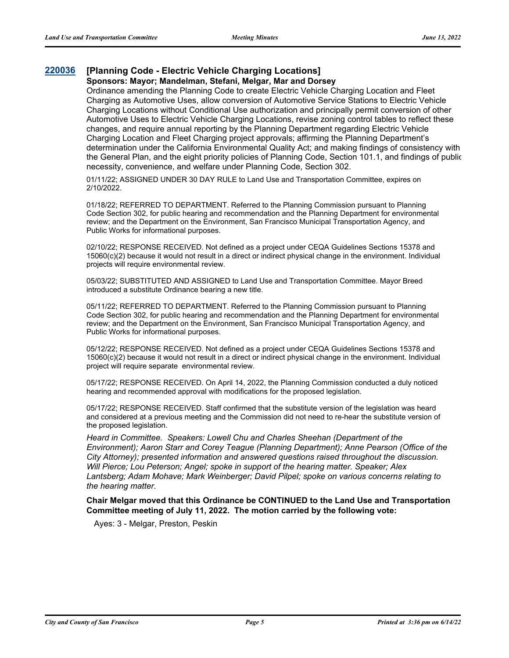### **[220036](http://sfgov.legistar.com/gateway.aspx?m=l&id=38231) [Planning Code - Electric Vehicle Charging Locations]**

### **Sponsors: Mayor; Mandelman, Stefani, Melgar, Mar and Dorsey**

Ordinance amending the Planning Code to create Electric Vehicle Charging Location and Fleet Charging as Automotive Uses, allow conversion of Automotive Service Stations to Electric Vehicle Charging Locations without Conditional Use authorization and principally permit conversion of other Automotive Uses to Electric Vehicle Charging Locations, revise zoning control tables to reflect these changes, and require annual reporting by the Planning Department regarding Electric Vehicle Charging Location and Fleet Charging project approvals; affirming the Planning Department's determination under the California Environmental Quality Act; and making findings of consistency with the General Plan, and the eight priority policies of Planning Code, Section 101.1, and findings of public necessity, convenience, and welfare under Planning Code, Section 302.

01/11/22; ASSIGNED UNDER 30 DAY RULE to Land Use and Transportation Committee, expires on 2/10/2022.

01/18/22; REFERRED TO DEPARTMENT. Referred to the Planning Commission pursuant to Planning Code Section 302, for public hearing and recommendation and the Planning Department for environmental review; and the Department on the Environment, San Francisco Municipal Transportation Agency, and Public Works for informational purposes.

02/10/22; RESPONSE RECEIVED. Not defined as a project under CEQA Guidelines Sections 15378 and 15060(c)(2) because it would not result in a direct or indirect physical change in the environment. Individual projects will require environmental review.

05/03/22; SUBSTITUTED AND ASSIGNED to Land Use and Transportation Committee. Mayor Breed introduced a substitute Ordinance bearing a new title.

05/11/22; REFERRED TO DEPARTMENT. Referred to the Planning Commission pursuant to Planning Code Section 302, for public hearing and recommendation and the Planning Department for environmental review; and the Department on the Environment, San Francisco Municipal Transportation Agency, and Public Works for informational purposes.

05/12/22; RESPONSE RECEIVED. Not defined as a project under CEQA Guidelines Sections 15378 and 15060(c)(2) because it would not result in a direct or indirect physical change in the environment. Individual project will require separate environmental review.

05/17/22; RESPONSE RECEIVED. On April 14, 2022, the Planning Commission conducted a duly noticed hearing and recommended approval with modifications for the proposed legislation.

05/17/22; RESPONSE RECEIVED. Staff confirmed that the substitute version of the legislation was heard and considered at a previous meeting and the Commission did not need to re-hear the substitute version of the proposed legislation.

*Heard in Committee. Speakers: Lowell Chu and Charles Sheehan (Department of the Environment); Aaron Starr and Corey Teague (Planning Department); Anne Pearson (Office of the City Attorney); presented information and answered questions raised throughout the discussion. Will Pierce; Lou Peterson; Angel; spoke in support of the hearing matter. Speaker; Alex Lantsberg; Adam Mohave; Mark Weinberger; David Pilpel; spoke on various concerns relating to the hearing matter.*

**Chair Melgar moved that this Ordinance be CONTINUED to the Land Use and Transportation Committee meeting of July 11, 2022. The motion carried by the following vote:**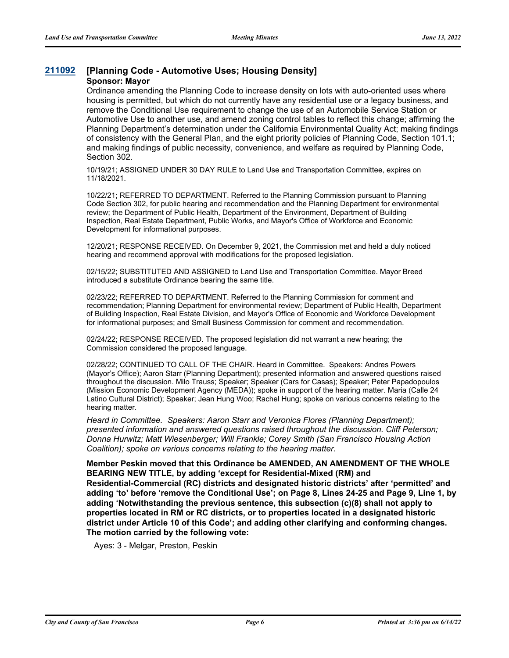## **[211092](http://sfgov.legistar.com/gateway.aspx?m=l&id=37962) [Planning Code - Automotive Uses; Housing Density]**

### **Sponsor: Mayor**

Ordinance amending the Planning Code to increase density on lots with auto-oriented uses where housing is permitted, but which do not currently have any residential use or a legacy business, and remove the Conditional Use requirement to change the use of an Automobile Service Station or Automotive Use to another use, and amend zoning control tables to reflect this change; affirming the Planning Department's determination under the California Environmental Quality Act; making findings of consistency with the General Plan, and the eight priority policies of Planning Code, Section 101.1; and making findings of public necessity, convenience, and welfare as required by Planning Code, Section 302.

10/19/21; ASSIGNED UNDER 30 DAY RULE to Land Use and Transportation Committee, expires on 11/18/2021.

10/22/21; REFERRED TO DEPARTMENT. Referred to the Planning Commission pursuant to Planning Code Section 302, for public hearing and recommendation and the Planning Department for environmental review; the Department of Public Health, Department of the Environment, Department of Building Inspection, Real Estate Department, Public Works, and Mayor's Office of Workforce and Economic Development for informational purposes.

12/20/21; RESPONSE RECEIVED. On December 9, 2021, the Commission met and held a duly noticed hearing and recommend approval with modifications for the proposed legislation.

02/15/22; SUBSTITUTED AND ASSIGNED to Land Use and Transportation Committee. Mayor Breed introduced a substitute Ordinance bearing the same title.

02/23/22; REFERRED TO DEPARTMENT. Referred to the Planning Commission for comment and recommendation; Planning Department for environmental review; Department of Public Health, Department of Building Inspection, Real Estate Division, and Mayor's Office of Economic and Workforce Development for informational purposes; and Small Business Commission for comment and recommendation.

02/24/22; RESPONSE RECEIVED. The proposed legislation did not warrant a new hearing; the Commission considered the proposed language.

02/28/22; CONTINUED TO CALL OF THE CHAIR. Heard in Committee. Speakers: Andres Powers (Mayor's Office); Aaron Starr (Planning Department); presented information and answered questions raised throughout the discussion. Milo Trauss; Speaker; Speaker (Cars for Casas); Speaker; Peter Papadopoulos (Mission Economic Development Agency (MEDA)); spoke in support of the hearing matter. Maria (Calle 24 Latino Cultural District); Speaker; Jean Hung Woo; Rachel Hung; spoke on various concerns relating to the hearing matter.

*Heard in Committee. Speakers: Aaron Starr and Veronica Flores (Planning Department); presented information and answered questions raised throughout the discussion. Cliff Peterson; Donna Hurwitz; Matt Wiesenberger; Will Frankle; Corey Smith (San Francisco Housing Action Coalition); spoke on various concerns relating to the hearing matter.*

**Member Peskin moved that this Ordinance be AMENDED, AN AMENDMENT OF THE WHOLE BEARING NEW TITLE, by adding 'except for Residential-Mixed (RM) and Residential-Commercial (RC) districts and designated historic districts' after 'permitted' and adding 'to' before 'remove the Conditional Use'; on Page 8, Lines 24-25 and Page 9, Line 1, by adding 'Notwithstanding the previous sentence, this subsection (c)(8) shall not apply to properties located in RM or RC districts, or to properties located in a designated historic district under Article 10 of this Code'; and adding other clarifying and conforming changes. The motion carried by the following vote:**